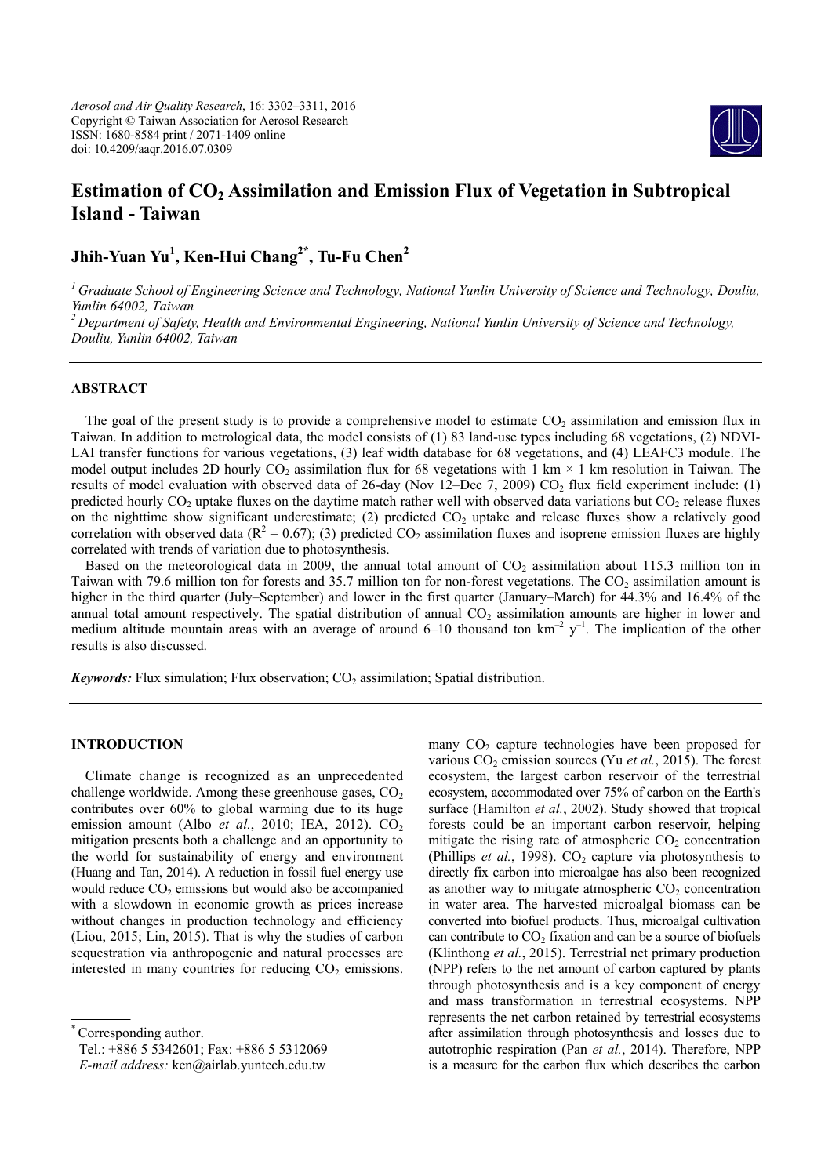*Aerosol and Air Quality Research*, 16: 3302–3311, 2016 Copyright © Taiwan Association for Aerosol Research ISSN: 1680-8584 print / 2071-1409 online doi: 10.4209/aaqr.2016.07.0309



# **Estimation of CO<sub>2</sub> Assimilation and Emission Flux of Vegetation in Subtropical Island - Taiwan**

**Jhih-Yuan Yu1 , Ken-Hui Chang2\* , Tu-Fu Chen2**

*<sup>1</sup> Graduate School of Engineering Science and Technology, National Yunlin University of Science and Technology, Douliu, Yunlin 64002, Taiwan <sup>2</sup> Department of Safety, Health and Environmental Engineering, National Yunlin University of Science and Technology,*

*Douliu, Yunlin 64002, Taiwan*

# **ABSTRACT**

The goal of the present study is to provide a comprehensive model to estimate  $CO<sub>2</sub>$  assimilation and emission flux in Taiwan. In addition to metrological data, the model consists of (1) 83 land-use types including 68 vegetations, (2) NDVI-LAI transfer functions for various vegetations, (3) leaf width database for 68 vegetations, and (4) LEAFC3 module. The model output includes 2D hourly CO<sub>2</sub> assimilation flux for 68 vegetations with 1 km  $\times$  1 km resolution in Taiwan. The results of model evaluation with observed data of 26-day (Nov 12–Dec 7, 2009) CO<sub>2</sub> flux field experiment include: (1) predicted hourly  $CO<sub>2</sub>$  uptake fluxes on the daytime match rather well with observed data variations but  $CO<sub>2</sub>$  release fluxes on the nighttime show significant underestimate; (2) predicted  $CO<sub>2</sub>$  uptake and release fluxes show a relatively good correlation with observed data ( $R^2 = 0.67$ ); (3) predicted CO<sub>2</sub> assimilation fluxes and isoprene emission fluxes are highly correlated with trends of variation due to photosynthesis.

Based on the meteorological data in 2009, the annual total amount of  $CO_2$  assimilation about 115.3 million ton in Taiwan with 79.6 million ton for forests and 35.7 million ton for non-forest vegetations. The  $CO<sub>2</sub>$  assimilation amount is higher in the third quarter (July–September) and lower in the first quarter (January–March) for 44.3% and 16.4% of the annual total amount respectively. The spatial distribution of annual  $CO<sub>2</sub>$  assimilation amounts are higher in lower and medium altitude mountain areas with an average of around 6–10 thousand ton  $km^{-2}$  y<sup>-1</sup>. The implication of the other results is also discussed.

**Keywords:** Flux simulation; Flux observation;  $CO<sub>2</sub>$  assimilation; Spatial distribution.

## **INTRODUCTION**

Climate change is recognized as an unprecedented challenge worldwide. Among these greenhouse gases,  $CO<sub>2</sub>$ contributes over 60% to global warming due to its huge emission amount (Albo *et al.*, 2010; IEA, 2012). CO<sub>2</sub> mitigation presents both a challenge and an opportunity to the world for sustainability of energy and environment (Huang and Tan, 2014). A reduction in fossil fuel energy use would reduce  $CO<sub>2</sub>$  emissions but would also be accompanied with a slowdown in economic growth as prices increase without changes in production technology and efficiency (Liou, 2015; Lin, 2015). That is why the studies of carbon sequestration via anthropogenic and natural processes are interested in many countries for reducing  $CO<sub>2</sub>$  emissions.

Corresponding author.

Tel.: +886 5 5342601; Fax: +886 5 5312069

*E-mail address:* ken@airlab.yuntech.edu.tw

many  $CO<sub>2</sub>$  capture technologies have been proposed for various  $CO<sub>2</sub>$  emission sources (Yu *et al.*, 2015). The forest ecosystem, the largest carbon reservoir of the terrestrial ecosystem, accommodated over 75% of carbon on the Earth's surface (Hamilton *et al.*, 2002). Study showed that tropical forests could be an important carbon reservoir, helping mitigate the rising rate of atmospheric  $CO<sub>2</sub>$  concentration (Phillips *et al.*, 1998).  $CO<sub>2</sub>$  capture via photosynthesis to directly fix carbon into microalgae has also been recognized as another way to mitigate atmospheric  $CO<sub>2</sub>$  concentration in water area. The harvested microalgal biomass can be converted into biofuel products. Thus, microalgal cultivation can contribute to  $CO<sub>2</sub>$  fixation and can be a source of biofuels (Klinthong *et al.*, 2015). Terrestrial net primary production (NPP) refers to the net amount of carbon captured by plants through photosynthesis and is a key component of energy and mass transformation in terrestrial ecosystems. NPP represents the net carbon retained by terrestrial ecosystems after assimilation through photosynthesis and losses due to autotrophic respiration (Pan *et al.*, 2014). Therefore, NPP is a measure for the carbon flux which describes the carbon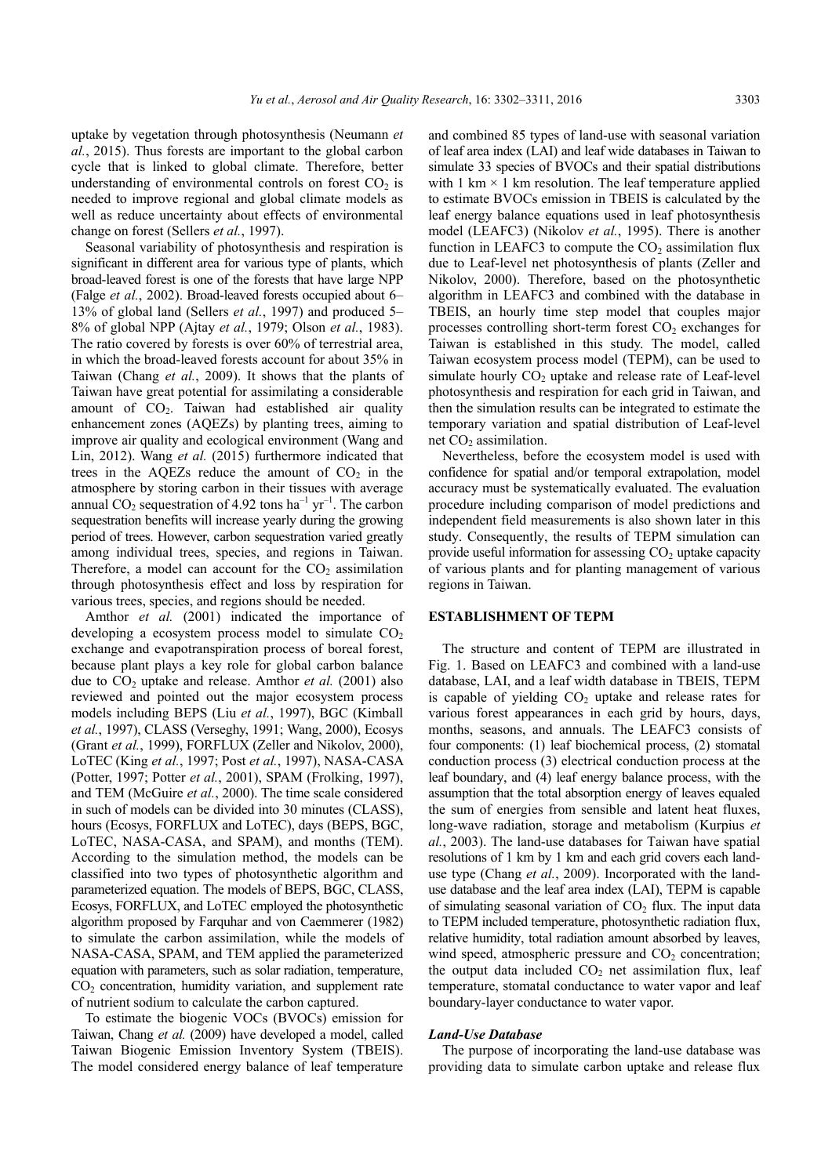uptake by vegetation through photosynthesis (Neumann *et al.*, 2015). Thus forests are important to the global carbon cycle that is linked to global climate. Therefore, better understanding of environmental controls on forest  $CO<sub>2</sub>$  is needed to improve regional and global climate models as well as reduce uncertainty about effects of environmental change on forest (Sellers *et al.*, 1997).

Seasonal variability of photosynthesis and respiration is significant in different area for various type of plants, which broad-leaved forest is one of the forests that have large NPP (Falge *et al.*, 2002). Broad-leaved forests occupied about 6– 13% of global land (Sellers *et al.*, 1997) and produced 5– 8% of global NPP (Ajtay *et al.*, 1979; Olson *et al.*, 1983). The ratio covered by forests is over 60% of terrestrial area, in which the broad-leaved forests account for about 35% in Taiwan (Chang *et al.*, 2009). It shows that the plants of Taiwan have great potential for assimilating a considerable amount of  $CO<sub>2</sub>$ . Taiwan had established air quality enhancement zones (AQEZs) by planting trees, aiming to improve air quality and ecological environment (Wang and Lin, 2012). Wang *et al.* (2015) furthermore indicated that trees in the AQEZs reduce the amount of  $CO<sub>2</sub>$  in the atmosphere by storing carbon in their tissues with average annual  $CO_2$  sequestration of 4.92 tons ha<sup>-1</sup> yr<sup>-1</sup>. The carbon sequestration benefits will increase yearly during the growing period of trees. However, carbon sequestration varied greatly among individual trees, species, and regions in Taiwan. Therefore, a model can account for the  $CO<sub>2</sub>$  assimilation through photosynthesis effect and loss by respiration for various trees, species, and regions should be needed.

Amthor *et al.* (2001) indicated the importance of developing a ecosystem process model to simulate  $CO<sub>2</sub>$ exchange and evapotranspiration process of boreal forest, because plant plays a key role for global carbon balance due to  $CO<sub>2</sub>$  uptake and release. Amthor *et al.* (2001) also reviewed and pointed out the major ecosystem process models including BEPS (Liu *et al.*, 1997), BGC (Kimball *et al.*, 1997), CLASS (Verseghy, 1991; Wang, 2000), Ecosys (Grant *et al.*, 1999), FORFLUX (Zeller and Nikolov, 2000), LoTEC (King *et al.*, 1997; Post *et al.*, 1997), NASA-CASA (Potter, 1997; Potter *et al.*, 2001), SPAM (Frolking, 1997), and TEM (McGuire *et al.*, 2000). The time scale considered in such of models can be divided into 30 minutes (CLASS), hours (Ecosys, FORFLUX and LoTEC), days (BEPS, BGC, LoTEC, NASA-CASA, and SPAM), and months (TEM). According to the simulation method, the models can be classified into two types of photosynthetic algorithm and parameterized equation. The models of BEPS, BGC, CLASS, Ecosys, FORFLUX, and LoTEC employed the photosynthetic algorithm proposed by Farquhar and von Caemmerer (1982) to simulate the carbon assimilation, while the models of NASA-CASA, SPAM, and TEM applied the parameterized equation with parameters, such as solar radiation, temperature,  $CO<sub>2</sub>$  concentration, humidity variation, and supplement rate of nutrient sodium to calculate the carbon captured.

To estimate the biogenic VOCs (BVOCs) emission for Taiwan, Chang *et al.* (2009) have developed a model, called Taiwan Biogenic Emission Inventory System (TBEIS). The model considered energy balance of leaf temperature

and combined 85 types of land-use with seasonal variation of leaf area index (LAI) and leaf wide databases in Taiwan to simulate 33 species of BVOCs and their spatial distributions with 1 km  $\times$  1 km resolution. The leaf temperature applied to estimate BVOCs emission in TBEIS is calculated by the leaf energy balance equations used in leaf photosynthesis model (LEAFC3) (Nikolov *et al.*, 1995). There is another function in LEAFC3 to compute the  $CO<sub>2</sub>$  assimilation flux due to Leaf-level net photosynthesis of plants (Zeller and Nikolov, 2000). Therefore, based on the photosynthetic algorithm in LEAFC3 and combined with the database in TBEIS, an hourly time step model that couples major processes controlling short-term forest  $CO<sub>2</sub>$  exchanges for Taiwan is established in this study. The model, called Taiwan ecosystem process model (TEPM), can be used to simulate hourly  $CO<sub>2</sub>$  uptake and release rate of Leaf-level photosynthesis and respiration for each grid in Taiwan, and then the simulation results can be integrated to estimate the temporary variation and spatial distribution of Leaf-level net  $CO<sub>2</sub>$  assimilation.

Nevertheless, before the ecosystem model is used with confidence for spatial and/or temporal extrapolation, model accuracy must be systematically evaluated. The evaluation procedure including comparison of model predictions and independent field measurements is also shown later in this study. Consequently, the results of TEPM simulation can provide useful information for assessing  $CO<sub>2</sub>$  uptake capacity of various plants and for planting management of various regions in Taiwan.

#### **ESTABLISHMENT OF TEPM**

The structure and content of TEPM are illustrated in Fig. 1. Based on LEAFC3 and combined with a land-use database, LAI, and a leaf width database in TBEIS, TEPM is capable of yielding  $CO<sub>2</sub>$  uptake and release rates for various forest appearances in each grid by hours, days, months, seasons, and annuals. The LEAFC3 consists of four components: (1) leaf biochemical process, (2) stomatal conduction process (3) electrical conduction process at the leaf boundary, and (4) leaf energy balance process, with the assumption that the total absorption energy of leaves equaled the sum of energies from sensible and latent heat fluxes, long-wave radiation, storage and metabolism (Kurpius *et al.*, 2003). The land-use databases for Taiwan have spatial resolutions of 1 km by 1 km and each grid covers each landuse type (Chang *et al.*, 2009). Incorporated with the landuse database and the leaf area index (LAI), TEPM is capable of simulating seasonal variation of  $CO<sub>2</sub>$  flux. The input data to TEPM included temperature, photosynthetic radiation flux, relative humidity, total radiation amount absorbed by leaves, wind speed, atmospheric pressure and  $CO<sub>2</sub>$  concentration; the output data included  $CO<sub>2</sub>$  net assimilation flux, leaf temperature, stomatal conductance to water vapor and leaf boundary-layer conductance to water vapor.

## *Land-Use Database*

The purpose of incorporating the land-use database was providing data to simulate carbon uptake and release flux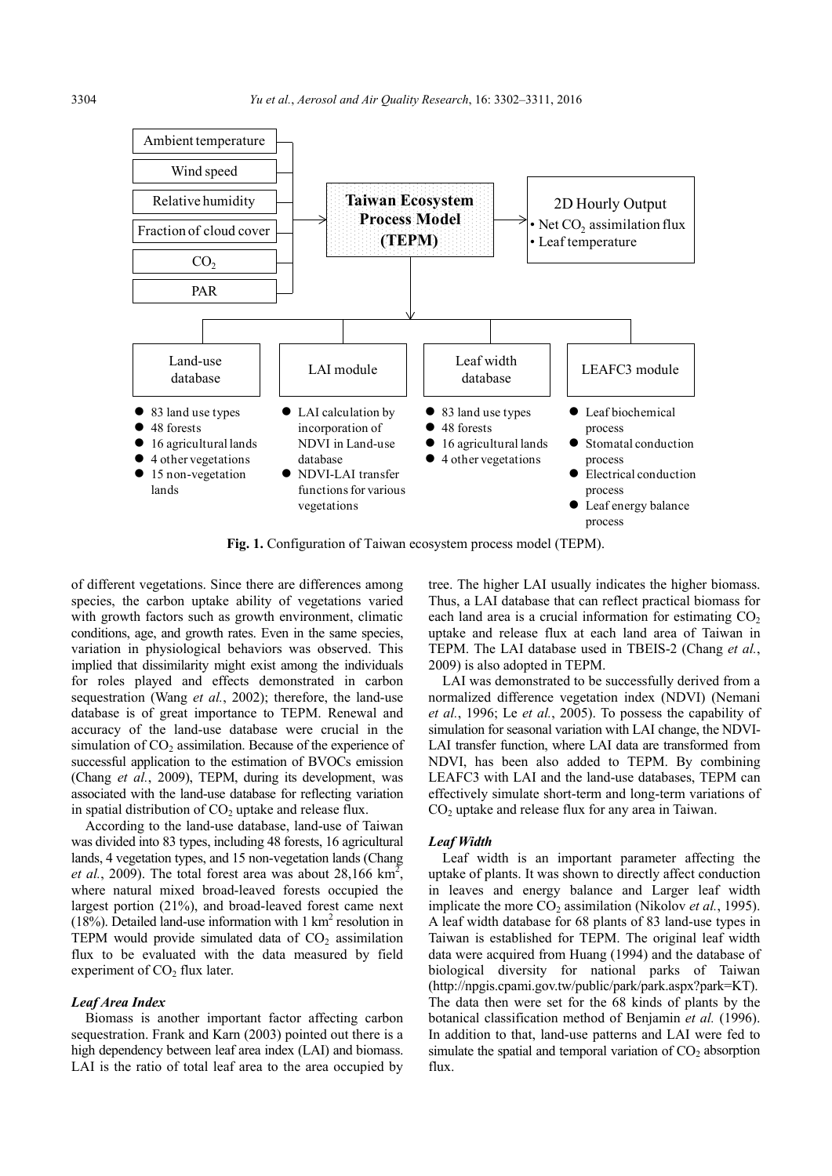

**Fig. 1.** Configuration of Taiwan ecosystem process model (TEPM).

of different vegetations. Since there are differences among species, the carbon uptake ability of vegetations varied with growth factors such as growth environment, climatic conditions, age, and growth rates. Even in the same species, variation in physiological behaviors was observed. This implied that dissimilarity might exist among the individuals for roles played and effects demonstrated in carbon sequestration (Wang *et al.*, 2002); therefore, the land-use database is of great importance to TEPM. Renewal and accuracy of the land-use database were crucial in the simulation of  $CO<sub>2</sub>$  assimilation. Because of the experience of successful application to the estimation of BVOCs emission (Chang *et al.*, 2009), TEPM, during its development, was associated with the land-use database for reflecting variation in spatial distribution of  $CO<sub>2</sub>$  uptake and release flux.

According to the land-use database, land-use of Taiwan was divided into 83 types, including 48 forests, 16 agricultural lands, 4 vegetation types, and 15 non-vegetation lands (Chang *et al.*, 2009). The total forest area was about  $28,166 \text{ km}^2$ , where natural mixed broad-leaved forests occupied the largest portion (21%), and broad-leaved forest came next (18%). Detailed land-use information with  $1 \text{ km}^2$  resolution in TEPM would provide simulated data of  $CO<sub>2</sub>$  assimilation flux to be evaluated with the data measured by field experiment of  $CO<sub>2</sub>$  flux later.

## *Leaf Area Index*

Biomass is another important factor affecting carbon sequestration. Frank and Karn (2003) pointed out there is a high dependency between leaf area index (LAI) and biomass. LAI is the ratio of total leaf area to the area occupied by tree. The higher LAI usually indicates the higher biomass. Thus, a LAI database that can reflect practical biomass for each land area is a crucial information for estimating  $CO<sub>2</sub>$ uptake and release flux at each land area of Taiwan in TEPM. The LAI database used in TBEIS-2 (Chang *et al.*, 2009) is also adopted in TEPM.

LAI was demonstrated to be successfully derived from a normalized difference vegetation index (NDVI) (Nemani *et al.*, 1996; Le *et al.*, 2005). To possess the capability of simulation for seasonal variation with LAI change, the NDVI-LAI transfer function, where LAI data are transformed from NDVI, has been also added to TEPM. By combining LEAFC3 with LAI and the land-use databases, TEPM can effectively simulate short-term and long-term variations of  $CO<sub>2</sub>$  uptake and release flux for any area in Taiwan.

#### *Leaf Width*

Leaf width is an important parameter affecting the uptake of plants. It was shown to directly affect conduction in leaves and energy balance and Larger leaf width implicate the more CO<sub>2</sub> assimilation (Nikolov *et al.*, 1995). A leaf width database for 68 plants of 83 land-use types in Taiwan is established for TEPM. The original leaf width data were acquired from Huang (1994) and the database of biological diversity for national parks of Taiwan (http://npgis.cpami.gov.tw/public/park/park.aspx?park=KT). The data then were set for the 68 kinds of plants by the botanical classification method of Benjamin *et al.* (1996). In addition to that, land-use patterns and LAI were fed to simulate the spatial and temporal variation of  $CO<sub>2</sub>$  absorption flux.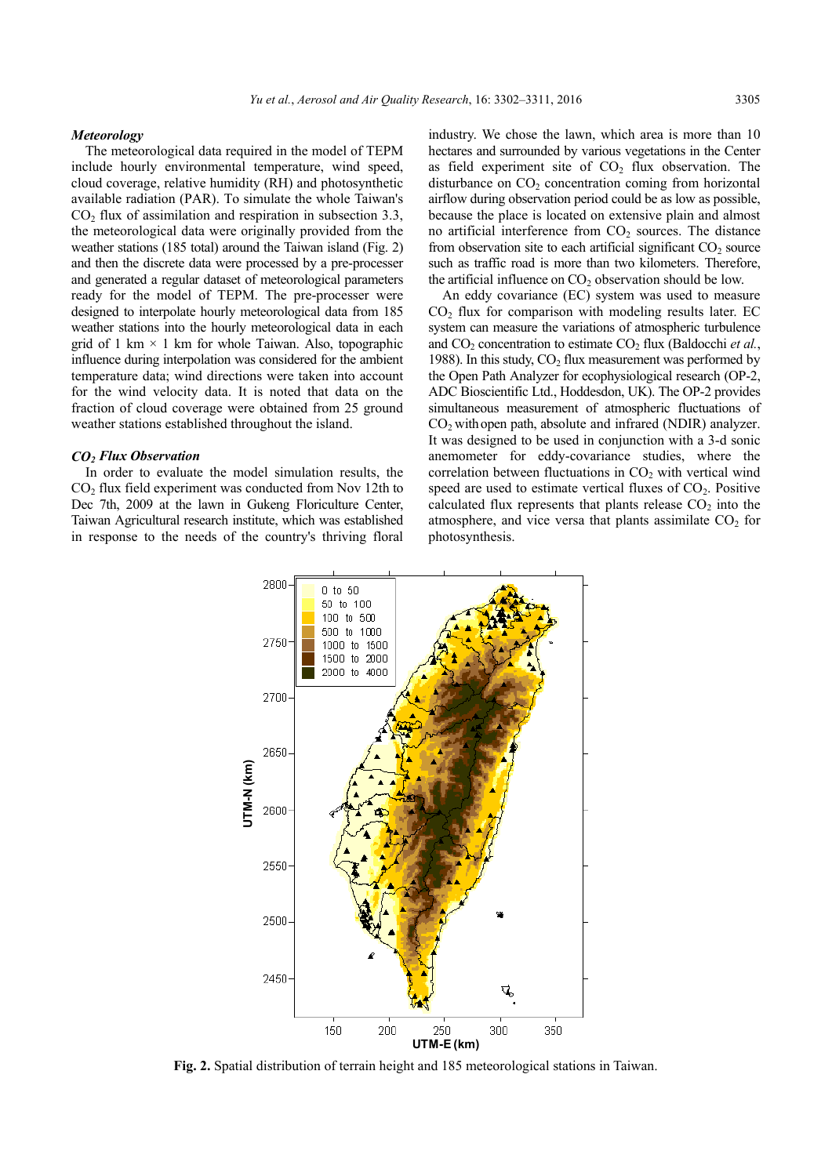## *Meteorology*

The meteorological data required in the model of TEPM include hourly environmental temperature, wind speed, cloud coverage, relative humidity (RH) and photosynthetic available radiation (PAR). To simulate the whole Taiwan's  $CO<sub>2</sub>$  flux of assimilation and respiration in subsection 3.3, the meteorological data were originally provided from the weather stations (185 total) around the Taiwan island (Fig. 2) and then the discrete data were processed by a pre-processer and generated a regular dataset of meteorological parameters ready for the model of TEPM. The pre-processer were designed to interpolate hourly meteorological data from 185 weather stations into the hourly meteorological data in each grid of 1 km  $\times$  1 km for whole Taiwan. Also, topographic influence during interpolation was considered for the ambient temperature data; wind directions were taken into account for the wind velocity data. It is noted that data on the fraction of cloud coverage were obtained from 25 ground weather stations established throughout the island.

#### *CO2 Flux Observation*

In order to evaluate the model simulation results, the  $CO<sub>2</sub>$  flux field experiment was conducted from Nov 12th to Dec 7th, 2009 at the lawn in Gukeng Floriculture Center, Taiwan Agricultural research institute, which was established in response to the needs of the country's thriving floral

industry. We chose the lawn, which area is more than 10 hectares and surrounded by various vegetations in the Center as field experiment site of  $CO<sub>2</sub>$  flux observation. The disturbance on  $CO<sub>2</sub>$  concentration coming from horizontal airflow during observation period could be as low as possible, because the place is located on extensive plain and almost no artificial interference from  $CO<sub>2</sub>$  sources. The distance from observation site to each artificial significant  $CO<sub>2</sub>$  source such as traffic road is more than two kilometers. Therefore, the artificial influence on  $CO<sub>2</sub>$  observation should be low.

An eddy covariance (EC) system was used to measure  $CO<sub>2</sub>$  flux for comparison with modeling results later. EC system can measure the variations of atmospheric turbulence and  $CO_2$  concentration to estimate  $CO_2$  flux (Baldocchi *et al.*, 1988). In this study,  $CO<sub>2</sub>$  flux measurement was performed by the Open Path Analyzer for ecophysiological research (OP-2, ADC Bioscientific Ltd., Hoddesdon, UK). The OP-2 provides simultaneous measurement of atmospheric fluctuations of  $CO<sub>2</sub>$  with open path, absolute and infrared (NDIR) analyzer. It was designed to be used in conjunction with a 3-d sonic anemometer for eddy-covariance studies, where the correlation between fluctuations in  $CO<sub>2</sub>$  with vertical wind speed are used to estimate vertical fluxes of  $CO<sub>2</sub>$ . Positive calculated flux represents that plants release  $CO<sub>2</sub>$  into the atmosphere, and vice versa that plants assimilate  $CO<sub>2</sub>$  for photosynthesis.



**Fig. 2.** Spatial distribution of terrain height and 185 meteorological stations in Taiwan.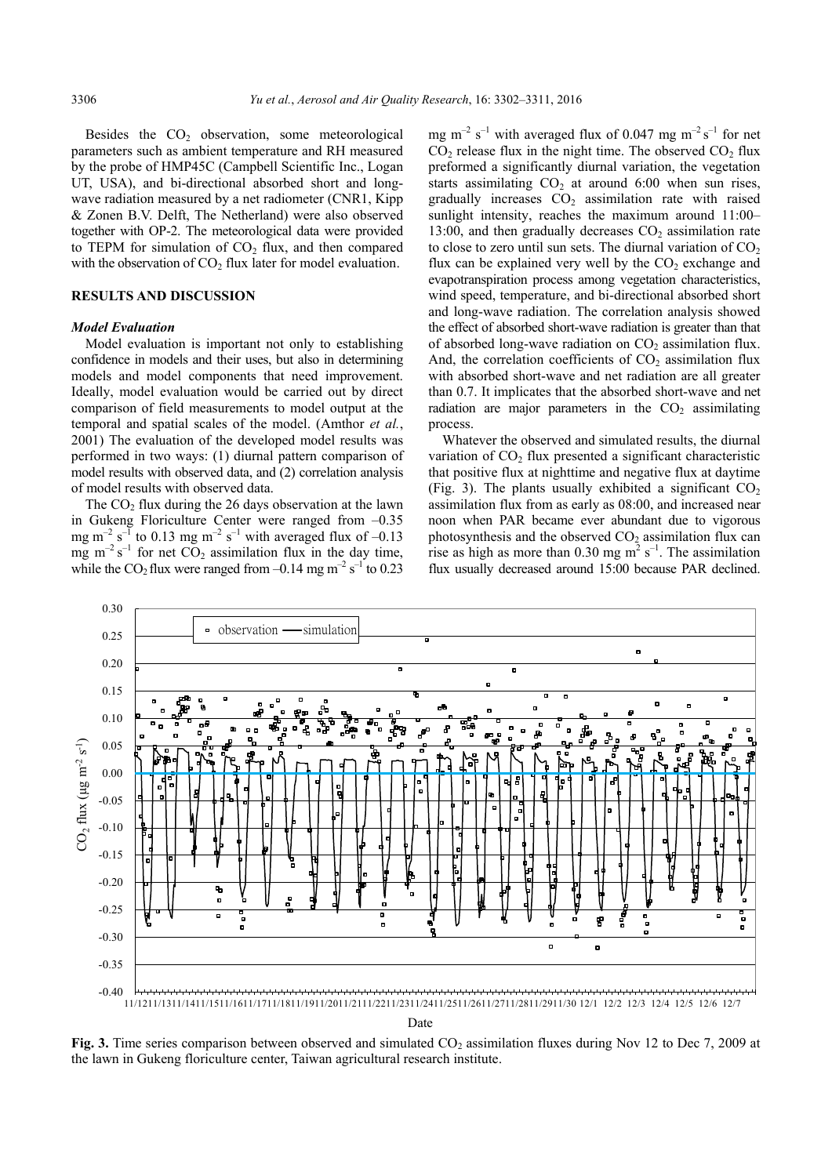Besides the  $CO<sub>2</sub>$  observation, some meteorological parameters such as ambient temperature and RH measured by the probe of HMP45C (Campbell Scientific Inc., Logan UT, USA), and bi-directional absorbed short and longwave radiation measured by a net radiometer (CNR1, Kipp & Zonen B.V. Delft, The Netherland) were also observed together with OP-2. The meteorological data were provided to TEPM for simulation of  $CO<sub>2</sub>$  flux, and then compared with the observation of  $CO<sub>2</sub>$  flux later for model evaluation.

## **RESULTS AND DISCUSSION**

# *Model Evaluation*

Model evaluation is important not only to establishing confidence in models and their uses, but also in determining models and model components that need improvement. Ideally, model evaluation would be carried out by direct comparison of field measurements to model output at the temporal and spatial scales of the model. (Amthor *et al.*, 2001) The evaluation of the developed model results was performed in two ways: (1) diurnal pattern comparison of model results with observed data, and (2) correlation analysis of model results with observed data.

The  $CO<sub>2</sub>$  flux during the 26 days observation at the lawn in Gukeng Floriculture Center were ranged from –0.35 mg m<sup>-2</sup> s<sup>-1</sup> to 0.13 mg m<sup>-2</sup> s<sup>-1</sup> with averaged flux of -0.13 mg  $m^{-2} s^{-1}$  for net  $CO_2$  assimilation flux in the day time, while the CO<sub>2</sub> flux were ranged from  $-0.14$  mg m<sup>-2</sup> s<sup>-1</sup> to 0.23

mg m<sup>-2</sup> s<sup>-1</sup> with averaged flux of 0.047 mg m<sup>-2</sup> s<sup>-1</sup> for net  $CO<sub>2</sub>$  release flux in the night time. The observed  $CO<sub>2</sub>$  flux preformed a significantly diurnal variation, the vegetation starts assimilating  $CO<sub>2</sub>$  at around 6:00 when sun rises, gradually increases  $CO<sub>2</sub>$  assimilation rate with raised sunlight intensity, reaches the maximum around 11:00– 13:00, and then gradually decreases  $CO<sub>2</sub>$  assimilation rate to close to zero until sun sets. The diurnal variation of  $CO<sub>2</sub>$ flux can be explained very well by the  $CO<sub>2</sub>$  exchange and evapotranspiration process among vegetation characteristics, wind speed, temperature, and bi-directional absorbed short and long-wave radiation. The correlation analysis showed the effect of absorbed short-wave radiation is greater than that of absorbed long-wave radiation on  $CO<sub>2</sub>$  assimilation flux. And, the correlation coefficients of  $CO<sub>2</sub>$  assimilation flux with absorbed short-wave and net radiation are all greater than 0.7. It implicates that the absorbed short-wave and net radiation are major parameters in the  $CO<sub>2</sub>$  assimilating process.

Whatever the observed and simulated results, the diurnal variation of  $CO<sub>2</sub>$  flux presented a significant characteristic that positive flux at nighttime and negative flux at daytime (Fig. 3). The plants usually exhibited a significant  $CO<sub>2</sub>$ assimilation flux from as early as 08:00, and increased near noon when PAR became ever abundant due to vigorous photosynthesis and the observed  $CO<sub>2</sub>$  assimilation flux can rise as high as more than 0.30 mg  $m^2 s^{-1}$ . The assimilation flux usually decreased around 15:00 because PAR declined.



Date

**Fig. 3.** Time series comparison between observed and simulated CO<sub>2</sub> assimilation fluxes during Nov 12 to Dec 7, 2009 at the lawn in Gukeng floriculture center, Taiwan agricultural research institute.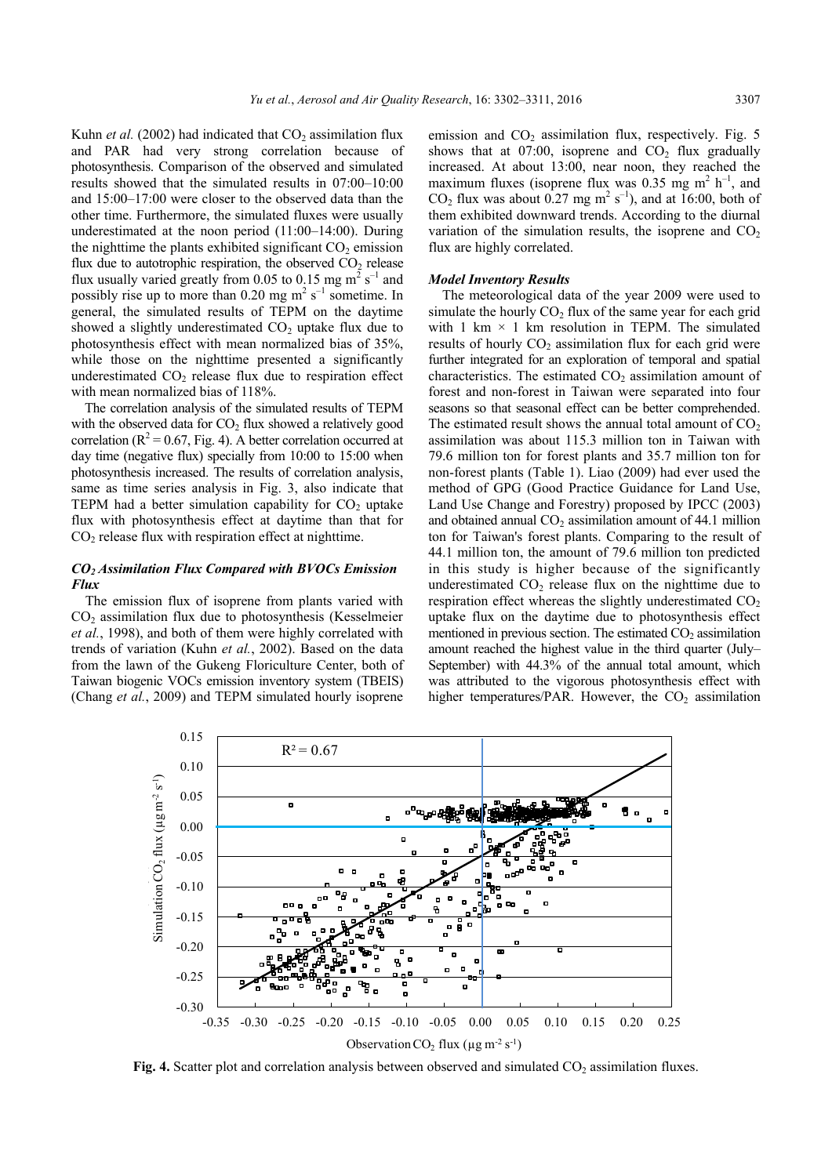Kuhn *et al.* (2002) had indicated that  $CO<sub>2</sub>$  assimilation flux and PAR had very strong correlation because of photosynthesis. Comparison of the observed and simulated results showed that the simulated results in 07:00–10:00 and 15:00–17:00 were closer to the observed data than the other time. Furthermore, the simulated fluxes were usually underestimated at the noon period (11:00–14:00). During the nighttime the plants exhibited significant  $CO<sub>2</sub>$  emission flux due to autotrophic respiration, the observed  $CO<sub>2</sub>$  release flux usually varied greatly from 0.05 to 0.15 mg  $m^2 s^{-1}$  and possibly rise up to more than 0.20 mg  $m^2 s^{-1}$  sometime. In general, the simulated results of TEPM on the daytime showed a slightly underestimated  $CO<sub>2</sub>$  uptake flux due to photosynthesis effect with mean normalized bias of 35%, while those on the nighttime presented a significantly underestimated  $CO<sub>2</sub>$  release flux due to respiration effect with mean normalized bias of 118%.

The correlation analysis of the simulated results of TEPM with the observed data for  $CO<sub>2</sub>$  flux showed a relatively good correlation ( $R^2$  = 0.67, Fig. 4). A better correlation occurred at day time (negative flux) specially from 10:00 to 15:00 when photosynthesis increased. The results of correlation analysis, same as time series analysis in Fig. 3, also indicate that TEPM had a better simulation capability for  $CO<sub>2</sub>$  uptake flux with photosynthesis effect at daytime than that for  $CO<sub>2</sub>$  release flux with respiration effect at nighttime.

## *CO2 Assimilation Flux Compared with BVOCs Emission Flux*

The emission flux of isoprene from plants varied with CO2 assimilation flux due to photosynthesis (Kesselmeier *et al.*, 1998), and both of them were highly correlated with trends of variation (Kuhn *et al.*, 2002). Based on the data from the lawn of the Gukeng Floriculture Center, both of Taiwan biogenic VOCs emission inventory system (TBEIS) (Chang *et al.*, 2009) and TEPM simulated hourly isoprene

emission and  $CO<sub>2</sub>$  assimilation flux, respectively. Fig. 5 shows that at  $07:00$ , isoprene and  $CO<sub>2</sub>$  flux gradually increased. At about 13:00, near noon, they reached the maximum fluxes (isoprene flux was 0.35 mg  $m^2$  h<sup>-1</sup>, and  $CO<sub>2</sub>$  flux was about 0.27 mg m<sup>2</sup> s<sup>-1</sup>), and at 16:00, both of them exhibited downward trends. According to the diurnal variation of the simulation results, the isoprene and  $CO<sub>2</sub>$ flux are highly correlated.

#### *Model Inventory Results*

The meteorological data of the year 2009 were used to simulate the hourly  $CO<sub>2</sub>$  flux of the same year for each grid with 1 km  $\times$  1 km resolution in TEPM. The simulated results of hourly  $CO<sub>2</sub>$  assimilation flux for each grid were further integrated for an exploration of temporal and spatial characteristics. The estimated  $CO<sub>2</sub>$  assimilation amount of forest and non-forest in Taiwan were separated into four seasons so that seasonal effect can be better comprehended. The estimated result shows the annual total amount of  $CO<sub>2</sub>$ assimilation was about 115.3 million ton in Taiwan with 79.6 million ton for forest plants and 35.7 million ton for non-forest plants (Table 1). Liao (2009) had ever used the method of GPG (Good Practice Guidance for Land Use, Land Use Change and Forestry) proposed by IPCC (2003) and obtained annual  $CO<sub>2</sub>$  assimilation amount of 44.1 million ton for Taiwan's forest plants. Comparing to the result of 44.1 million ton, the amount of 79.6 million ton predicted in this study is higher because of the significantly underestimated  $CO<sub>2</sub>$  release flux on the nighttime due to respiration effect whereas the slightly underestimated CO<sub>2</sub> uptake flux on the daytime due to photosynthesis effect mentioned in previous section. The estimated  $CO<sub>2</sub>$  assimilation amount reached the highest value in the third quarter (July– September) with 44.3% of the annual total amount, which was attributed to the vigorous photosynthesis effect with higher temperatures/PAR. However, the  $CO<sub>2</sub>$  assimilation



**Fig. 4.** Scatter plot and correlation analysis between observed and simulated CO<sub>2</sub> assimilation fluxes.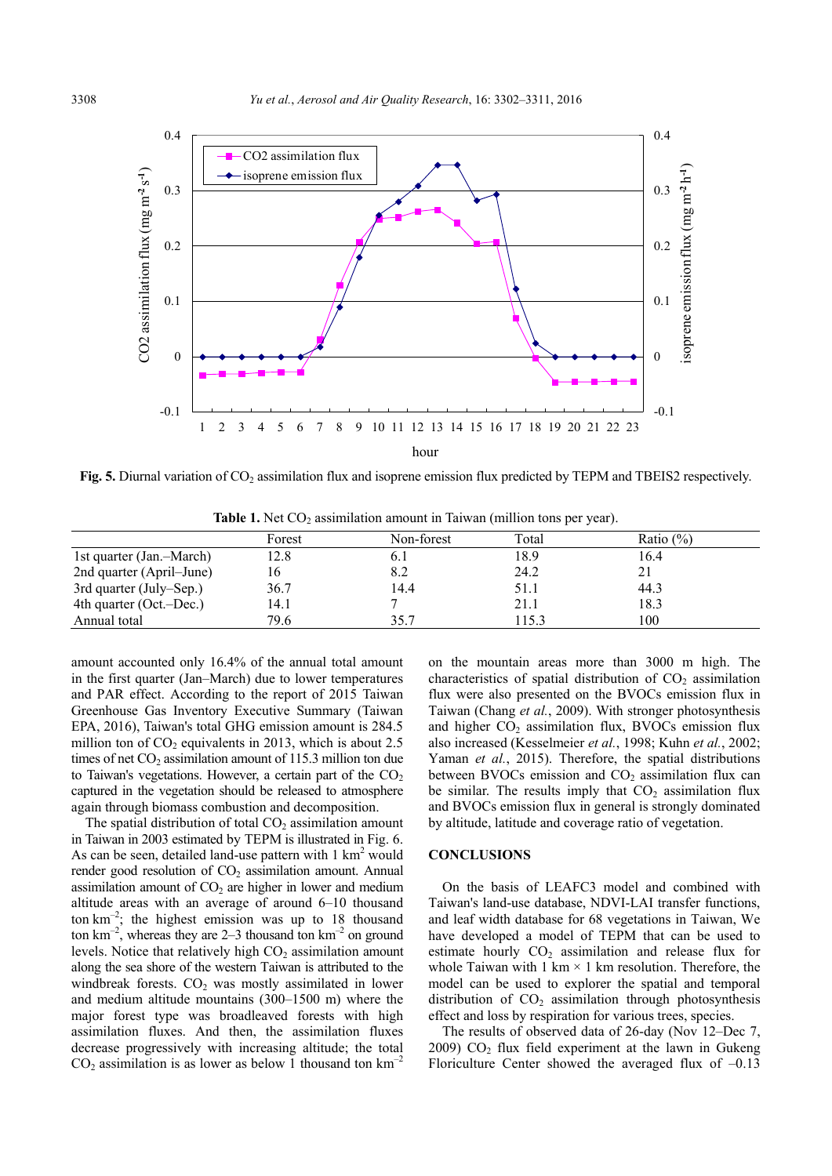

**Fig. 5.** Diurnal variation of CO<sub>2</sub> assimilation flux and isoprene emission flux predicted by TEPM and TBEIS2 respectively.

| <b>Table 1.</b> Net $CO_2$ assimilation amount in Taiwan (million tons per year). |  |
|-----------------------------------------------------------------------------------|--|
|-----------------------------------------------------------------------------------|--|

|                          | Forest | Non-forest | Total | Ratio $(\% )$ |  |
|--------------------------|--------|------------|-------|---------------|--|
| 1st quarter (Jan.-March) | 12.8   |            | 18.9  | 16.4          |  |
| 2nd quarter (April–June) | I 6    |            | 24.2  | 21            |  |
| 3rd quarter (July–Sep.)  | 36.7   | 14.4       | 51.1  | 44.3          |  |
| 4th quarter (Oct.-Dec.)  | 14.1   |            | 21.1  | 18.3          |  |
| Annual total             | 79.6   | 35.7       | 115.3 | 100           |  |

amount accounted only 16.4% of the annual total amount in the first quarter (Jan–March) due to lower temperatures and PAR effect. According to the report of 2015 Taiwan Greenhouse Gas Inventory Executive Summary (Taiwan EPA, 2016), Taiwan's total GHG emission amount is 284.5 million ton of  $CO<sub>2</sub>$  equivalents in 2013, which is about 2.5 times of net  $CO<sub>2</sub>$  assimilation amount of 115.3 million ton due to Taiwan's vegetations. However, a certain part of the  $CO<sub>2</sub>$ captured in the vegetation should be released to atmosphere again through biomass combustion and decomposition.

The spatial distribution of total  $CO<sub>2</sub>$  assimilation amount in Taiwan in 2003 estimated by TEPM is illustrated in Fig. 6. As can be seen, detailed land-use pattern with  $1 \text{ km}^2$  would render good resolution of  $CO<sub>2</sub>$  assimilation amount. Annual assimilation amount of  $CO<sub>2</sub>$  are higher in lower and medium altitude areas with an average of around 6–10 thousand ton  $km^{-2}$ ; the highest emission was up to 18 thousand ton  $km^{-2}$ , whereas they are 2–3 thousand ton  $km^{-2}$  on ground levels. Notice that relatively high  $CO<sub>2</sub>$  assimilation amount along the sea shore of the western Taiwan is attributed to the windbreak forests.  $CO<sub>2</sub>$  was mostly assimilated in lower and medium altitude mountains (300–1500 m) where the major forest type was broadleaved forests with high assimilation fluxes. And then, the assimilation fluxes decrease progressively with increasing altitude; the total  $CO<sub>2</sub>$  assimilation is as lower as below 1 thousand ton  $km^{-2}$ 

on the mountain areas more than 3000 m high. The characteristics of spatial distribution of  $CO<sub>2</sub>$  assimilation flux were also presented on the BVOCs emission flux in Taiwan (Chang *et al.*, 2009). With stronger photosynthesis and higher  $CO<sub>2</sub>$  assimilation flux, BVOCs emission flux also increased (Kesselmeier *et al.*, 1998; Kuhn *et al.*, 2002; Yaman *et al.*, 2015). Therefore, the spatial distributions between BVOCs emission and  $CO<sub>2</sub>$  assimilation flux can be similar. The results imply that  $CO<sub>2</sub>$  assimilation flux and BVOCs emission flux in general is strongly dominated by altitude, latitude and coverage ratio of vegetation.

#### **CONCLUSIONS**

On the basis of LEAFC3 model and combined with Taiwan's land-use database, NDVI-LAI transfer functions, and leaf width database for 68 vegetations in Taiwan, We have developed a model of TEPM that can be used to estimate hourly  $CO<sub>2</sub>$  assimilation and release flux for whole Taiwan with  $1 \text{ km} \times 1 \text{ km}$  resolution. Therefore, the model can be used to explorer the spatial and temporal distribution of  $CO<sub>2</sub>$  assimilation through photosynthesis effect and loss by respiration for various trees, species.

The results of observed data of 26-day (Nov 12–Dec 7, 2009)  $CO<sub>2</sub>$  flux field experiment at the lawn in Gukeng Floriculture Center showed the averaged flux of  $-0.13$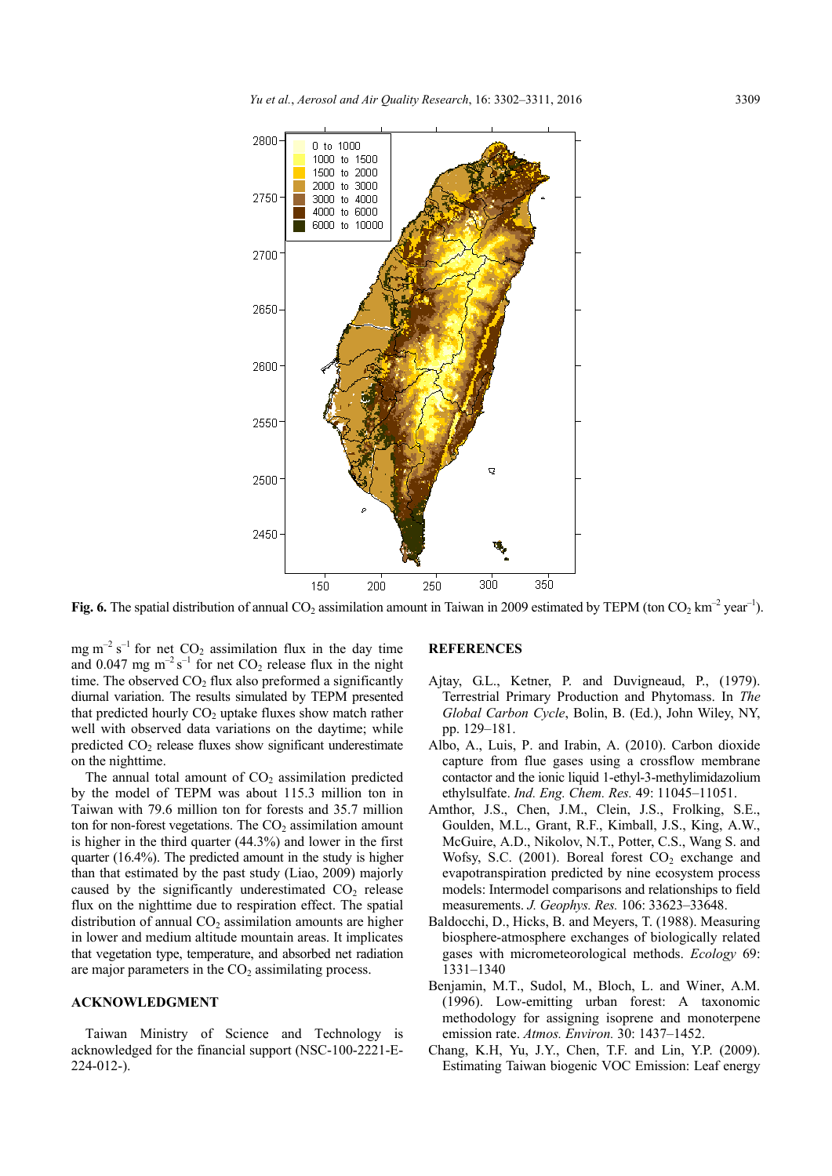

Fig. 6. The spatial distribution of annual  $CO_2$  assimilation amount in Taiwan in 2009 estimated by TEPM (ton  $CO_2$  km<sup>-2</sup> year<sup>-1</sup>).

mg m<sup>-2</sup> s<sup>-1</sup> for net  $CO_2$  assimilation flux in the day time and 0.047 mg  $m^{-2} s^{-1}$  for net CO<sub>2</sub> release flux in the night time. The observed  $CO<sub>2</sub>$  flux also preformed a significantly diurnal variation. The results simulated by TEPM presented that predicted hourly  $CO<sub>2</sub>$  uptake fluxes show match rather well with observed data variations on the daytime; while predicted  $CO<sub>2</sub>$  release fluxes show significant underestimate on the nighttime.

The annual total amount of  $CO<sub>2</sub>$  assimilation predicted by the model of TEPM was about 115.3 million ton in Taiwan with 79.6 million ton for forests and 35.7 million ton for non-forest vegetations. The  $CO<sub>2</sub>$  assimilation amount is higher in the third quarter (44.3%) and lower in the first quarter (16.4%). The predicted amount in the study is higher than that estimated by the past study (Liao, 2009) majorly caused by the significantly underestimated  $CO<sub>2</sub>$  release flux on the nighttime due to respiration effect. The spatial distribution of annual  $CO<sub>2</sub>$  assimilation amounts are higher in lower and medium altitude mountain areas. It implicates that vegetation type, temperature, and absorbed net radiation are major parameters in the  $CO<sub>2</sub>$  assimilating process.

#### **ACKNOWLEDGMENT**

Taiwan Ministry of Science and Technology is acknowledged for the financial support (NSC-100-2221-E-224-012-).

# **REFERENCES**

- Ajtay, G.L., Ketner, P. and Duvigneaud, P., (1979). Terrestrial Primary Production and Phytomass. In *The Global Carbon Cycle*, Bolin, B. (Ed.), John Wiley, NY, pp. 129–181.
- Albo, A., Luis, P. and Irabin, A. (2010). Carbon dioxide capture from flue gases using a crossflow membrane contactor and the ionic liquid 1-ethyl-3-methylimidazolium ethylsulfate. *Ind. Eng. Chem. Res.* 49: 11045–11051.
- Amthor, J.S., Chen, J.M., Clein, J.S., Frolking, S.E., Goulden, M.L., Grant, R.F., Kimball, J.S., King, A.W., McGuire, A.D., Nikolov, N.T., Potter, C.S., Wang S. and Wofsy, S.C. (2001). Boreal forest  $CO<sub>2</sub>$  exchange and evapotranspiration predicted by nine ecosystem process models: Intermodel comparisons and relationships to field measurements. *J. Geophys. Res.* 106: 33623–33648.
- Baldocchi, D., Hicks, B. and Meyers, T. (1988). Measuring biosphere-atmosphere exchanges of biologically related gases with micrometeorological methods. *Ecology* 69: 1331–1340
- Benjamin, M.T., Sudol, M., Bloch, L. and Winer, A.M. (1996). Low-emitting urban forest: A taxonomic methodology for assigning isoprene and monoterpene emission rate. *Atmos. Environ.* 30: 1437–1452.
- Chang, K.H, Yu, J.Y., Chen, T.F. and Lin, Y.P. (2009). Estimating Taiwan biogenic VOC Emission: Leaf energy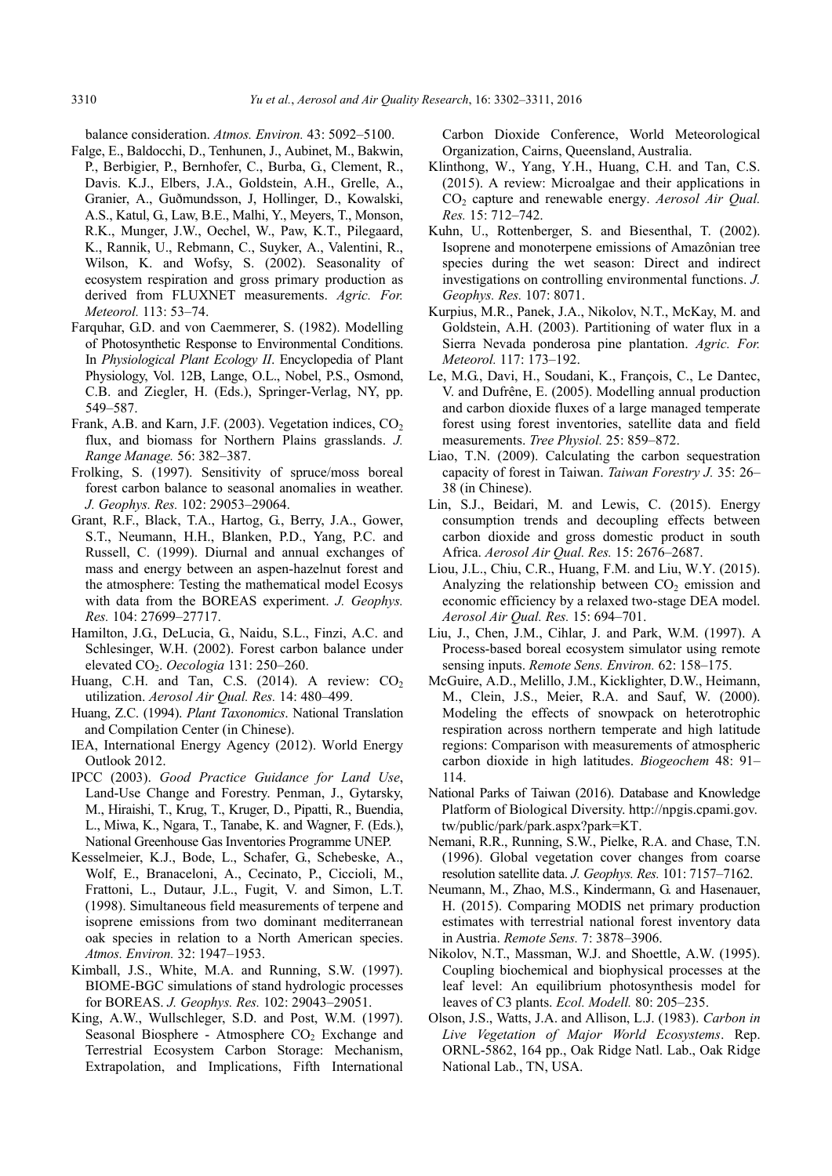balance consideration. *Atmos. Environ.* 43: 5092–5100.

- Falge, E., Baldocchi, D., Tenhunen, J., Aubinet, M., Bakwin, P., Berbigier, P., Bernhofer, C., Burba, G., Clement, R., Davis. K.J., Elbers, J.A., Goldstein, A.H., Grelle, A., Granier, A., Guðmundsson, J, Hollinger, D., Kowalski, A.S., Katul, G., Law, B.E., Malhi, Y., Meyers, T., Monson, R.K., Munger, J.W., Oechel, W., Paw, K.T., Pilegaard, K., Rannik, U., Rebmann, C., Suyker, A., Valentini, R., Wilson, K. and Wofsy, S. (2002). Seasonality of ecosystem respiration and gross primary production as derived from FLUXNET measurements. *Agric. For. Meteorol.* 113: 53–74.
- Farquhar, G.D. and von Caemmerer, S. (1982). Modelling of Photosynthetic Response to Environmental Conditions. In *Physiological Plant Ecology II*. Encyclopedia of Plant Physiology, Vol. 12B, Lange, O.L., Nobel, P.S., Osmond, C.B. and Ziegler, H. (Eds.), Springer-Verlag, NY, pp. 549–587.
- Frank, A.B. and Karn, J.F. (2003). Vegetation indices,  $CO<sub>2</sub>$ flux, and biomass for Northern Plains grasslands. *J. Range Manage.* 56: 382–387.
- Frolking, S. (1997). Sensitivity of spruce/moss boreal forest carbon balance to seasonal anomalies in weather. *J. Geophys. Res.* 102: 29053–29064.
- Grant, R.F., Black, T.A., Hartog, G., Berry, J.A., Gower, S.T., Neumann, H.H., Blanken, P.D., Yang, P.C. and Russell, C. (1999). Diurnal and annual exchanges of mass and energy between an aspen-hazelnut forest and the atmosphere: Testing the mathematical model Ecosys with data from the BOREAS experiment. *J. Geophys. Res.* 104: 27699–27717.
- Hamilton, J.G., DeLucia, G., Naidu, S.L., Finzi, A.C. and Schlesinger, W.H. (2002). Forest carbon balance under elevated CO2. *Oecologia* 131: 250–260.
- Huang, C.H. and Tan, C.S.  $(2014)$ . A review:  $CO<sub>2</sub>$ utilization. *Aerosol Air Qual. Res.* 14: 480–499.
- Huang, Z.C. (1994). *Plant Taxonomics*. National Translation and Compilation Center (in Chinese).
- IEA, International Energy Agency (2012). World Energy Outlook 2012.
- IPCC (2003). *Good Practice Guidance for Land Use*, Land-Use Change and Forestry. Penman, J., Gytarsky, M., Hiraishi, T., Krug, T., Kruger, D., Pipatti, R., Buendia, L., Miwa, K., Ngara, T., Tanabe, K. and Wagner, F. (Eds.), National Greenhouse Gas Inventories Programme UNEP.
- Kesselmeier, K.J., Bode, L., Schafer, G., Schebeske, A., Wolf, E., Branaceloni, A., Cecinato, P., Ciccioli, M., Frattoni, L., Dutaur, J.L., Fugit, V. and Simon, L.T. (1998). Simultaneous field measurements of terpene and isoprene emissions from two dominant mediterranean oak species in relation to a North American species. *Atmos. Environ.* 32: 1947–1953.
- Kimball, J.S., White, M.A. and Running, S.W. (1997). BIOME-BGC simulations of stand hydrologic processes for BOREAS. *J. Geophys. Res.* 102: 29043–29051.
- King, A.W., Wullschleger, S.D. and Post, W.M. (1997). Seasonal Biosphere - Atmosphere  $CO<sub>2</sub>$  Exchange and Terrestrial Ecosystem Carbon Storage: Mechanism, Extrapolation, and Implications, Fifth International

Carbon Dioxide Conference, World Meteorological Organization, Cairns, Queensland, Australia.

- Klinthong, W., Yang, Y.H., Huang, C.H. and Tan, C.S. (2015). A review: Microalgae and their applications in CO2 capture and renewable energy. *Aerosol Air Qual. Res.* 15: 712–742.
- Kuhn, U., Rottenberger, S. and Biesenthal, T. (2002). Isoprene and monoterpene emissions of Amazônian tree species during the wet season: Direct and indirect investigations on controlling environmental functions. *J. Geophys. Res.* 107: 8071.
- Kurpius, M.R., Panek, J.A., Nikolov, N.T., McKay, M. and Goldstein, A.H. (2003). Partitioning of water flux in a Sierra Nevada ponderosa pine plantation. *Agric. For. Meteorol.* 117: 173–192.
- Le, M.G., Davi, H., Soudani, K., François, C., Le Dantec, V. and Dufrêne, E. (2005). Modelling annual production and carbon dioxide fluxes of a large managed temperate forest using forest inventories, satellite data and field measurements. *Tree Physiol.* 25: 859–872.
- Liao, T.N. (2009). Calculating the carbon sequestration capacity of forest in Taiwan. *Taiwan Forestry J.* 35: 26– 38 (in Chinese).
- Lin, S.J., Beidari, M. and Lewis, C. (2015). Energy consumption trends and decoupling effects between carbon dioxide and gross domestic product in south Africa. *Aerosol Air Qual. Res.* 15: 2676–2687.
- Liou, J.L., Chiu, C.R., Huang, F.M. and Liu, W.Y. (2015). Analyzing the relationship between  $CO<sub>2</sub>$  emission and economic efficiency by a relaxed two-stage DEA model. *Aerosol Air Qual. Res.* 15: 694–701.
- Liu, J., Chen, J.M., Cihlar, J. and Park, W.M. (1997). A Process-based boreal ecosystem simulator using remote sensing inputs. *Remote Sens. Environ.* 62: 158–175.
- McGuire, A.D., Melillo, J.M., Kicklighter, D.W., Heimann, M., Clein, J.S., Meier, R.A. and Sauf, W. (2000). Modeling the effects of snowpack on heterotrophic respiration across northern temperate and high latitude regions: Comparison with measurements of atmospheric carbon dioxide in high latitudes. *Biogeochem* 48: 91– 114.
- National Parks of Taiwan (2016). Database and Knowledge Platform of Biological Diversity. http://npgis.cpami.gov. tw/public/park/park.aspx?park=KT.
- Nemani, R.R., Running, S.W., Pielke, R.A. and Chase, T.N. (1996). Global vegetation cover changes from coarse resolution satellite data. *J. Geophys. Res.* 101: 7157–7162.
- Neumann, M., Zhao, M.S., Kindermann, G. and Hasenauer, H. (2015). Comparing MODIS net primary production estimates with terrestrial national forest inventory data in Austria. *Remote Sens.* 7: 3878–3906.
- Nikolov, N.T., Massman, W.J. and Shoettle, A.W. (1995). Coupling biochemical and biophysical processes at the leaf level: An equilibrium photosynthesis model for leaves of C3 plants. *Ecol. Modell.* 80: 205–235.
- Olson, J.S., Watts, J.A. and Allison, L.J. (1983). *Carbon in Live Vegetation of Major World Ecosystems*. Rep. ORNL-5862, 164 pp., Oak Ridge Natl. Lab., Oak Ridge National Lab., TN, USA.